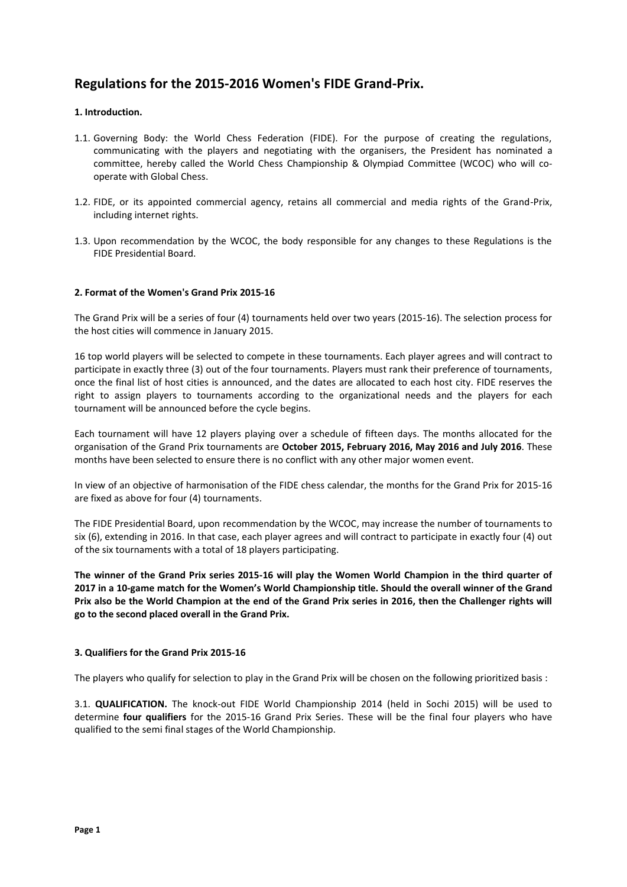# **Regulations for the 2015-2016 Women's FIDE Grand-Prix.**

# **1. Introduction.**

- 1.1. Governing Body: the World Chess Federation (FIDE). For the purpose of creating the regulations, communicating with the players and negotiating with the organisers, the President has nominated a committee, hereby called the World Chess Championship & Olympiad Committee (WCOC) who will cooperate with Global Chess.
- 1.2. FIDE, or its appointed commercial agency, retains all commercial and media rights of the Grand-Prix, including internet rights.
- 1.3. Upon recommendation by the WCOC, the body responsible for any changes to these Regulations is the FIDE Presidential Board.

# **2. Format of the Women's Grand Prix 2015-16**

The Grand Prix will be a series of four (4) tournaments held over two years (2015-16). The selection process for the host cities will commence in January 2015.

16 top world players will be selected to compete in these tournaments. Each player agrees and will contract to participate in exactly three (3) out of the four tournaments. Players must rank their preference of tournaments, once the final list of host cities is announced, and the dates are allocated to each host city. FIDE reserves the right to assign players to tournaments according to the organizational needs and the players for each tournament will be announced before the cycle begins.

Each tournament will have 12 players playing over a schedule of fifteen days. The months allocated for the organisation of the Grand Prix tournaments are **October 2015, February 2016, May 2016 and July 2016**. These months have been selected to ensure there is no conflict with any other major women event.

In view of an objective of harmonisation of the FIDE chess calendar, the months for the Grand Prix for 2015-16 are fixed as above for four (4) tournaments.

The FIDE Presidential Board, upon recommendation by the WCOC, may increase the number of tournaments to six (6), extending in 2016. In that case, each player agrees and will contract to participate in exactly four (4) out of the six tournaments with a total of 18 players participating.

**The winner of the Grand Prix series 2015-16 will play the Women World Champion in the third quarter of 2017 in a 10-game match for the Women's World Championship title. Should the overall winner of the Grand Prix also be the World Champion at the end of the Grand Prix series in 2016, then the Challenger rights will go to the second placed overall in the Grand Prix.** 

## **3. Qualifiers for the Grand Prix 2015-16**

The players who qualify for selection to play in the Grand Prix will be chosen on the following prioritized basis :

3.1. **QUALIFICATION.** The knock-out FIDE World Championship 2014 (held in Sochi 2015) will be used to determine **four qualifiers** for the 2015-16 Grand Prix Series. These will be the final four players who have qualified to the semi final stages of the World Championship.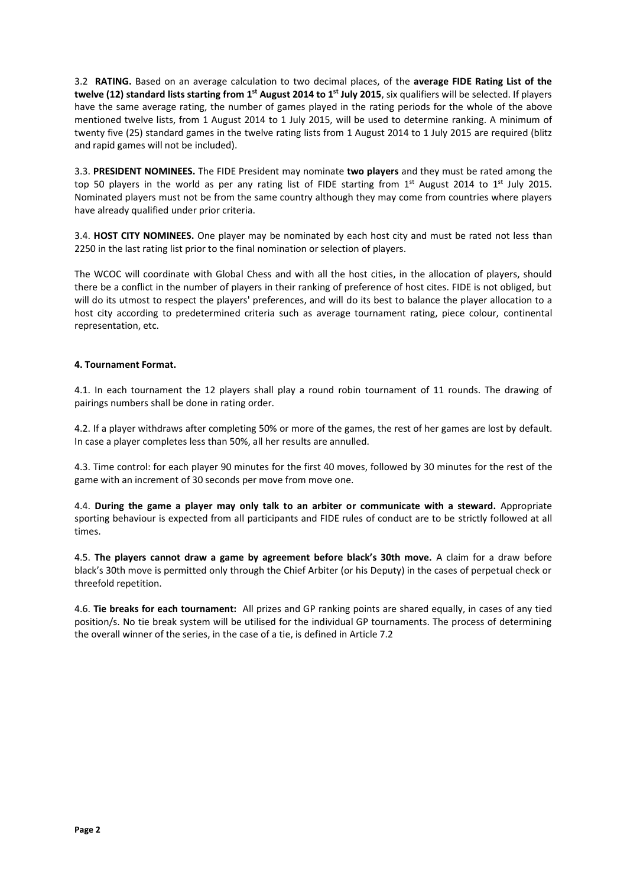3.2 **RATING.** Based on an average calculation to two decimal places, of the **average FIDE Rating List of the twelve (12) standard lists starting from 1st August 2014 to 1st July 2015**, six qualifiers will be selected. If players have the same average rating, the number of games played in the rating periods for the whole of the above mentioned twelve lists, from 1 August 2014 to 1 July 2015, will be used to determine ranking. A minimum of twenty five (25) standard games in the twelve rating lists from 1 August 2014 to 1 July 2015 are required (blitz and rapid games will not be included).

3.3. **PRESIDENT NOMINEES.** The FIDE President may nominate **two players** and they must be rated among the top 50 players in the world as per any rating list of FIDE starting from  $1^{st}$  August 2014 to  $1^{st}$  July 2015. Nominated players must not be from the same country although they may come from countries where players have already qualified under prior criteria.

3.4. **HOST CITY NOMINEES.** One player may be nominated by each host city and must be rated not less than 2250 in the last rating list prior to the final nomination or selection of players.

The WCOC will coordinate with Global Chess and with all the host cities, in the allocation of players, should there be a conflict in the number of players in their ranking of preference of host cites. FIDE is not obliged, but will do its utmost to respect the players' preferences, and will do its best to balance the player allocation to a host city according to predetermined criteria such as average tournament rating, piece colour, continental representation, etc.

## **4. Tournament Format.**

4.1. In each tournament the 12 players shall play a round robin tournament of 11 rounds. The drawing of pairings numbers shall be done in rating order.

4.2. If a player withdraws after completing 50% or more of the games, the rest of her games are lost by default. In case a player completes less than 50%, all her results are annulled.

4.3. Time control: for each player 90 minutes for the first 40 moves, followed by 30 minutes for the rest of the game with an increment of 30 seconds per move from move one.

4.4. **During the game a player may only talk to an arbiter or communicate with a steward.** Appropriate sporting behaviour is expected from all participants and FIDE rules of conduct are to be strictly followed at all times.

4.5. **The players cannot draw a game by agreement before black's 30th move.** A claim for a draw before black's 30th move is permitted only through the Chief Arbiter (or his Deputy) in the cases of perpetual check or threefold repetition.

4.6. **Tie breaks for each tournament:** All prizes and GP ranking points are shared equally, in cases of any tied position/s. No tie break system will be utilised for the individual GP tournaments. The process of determining the overall winner of the series, in the case of a tie, is defined in Article 7.2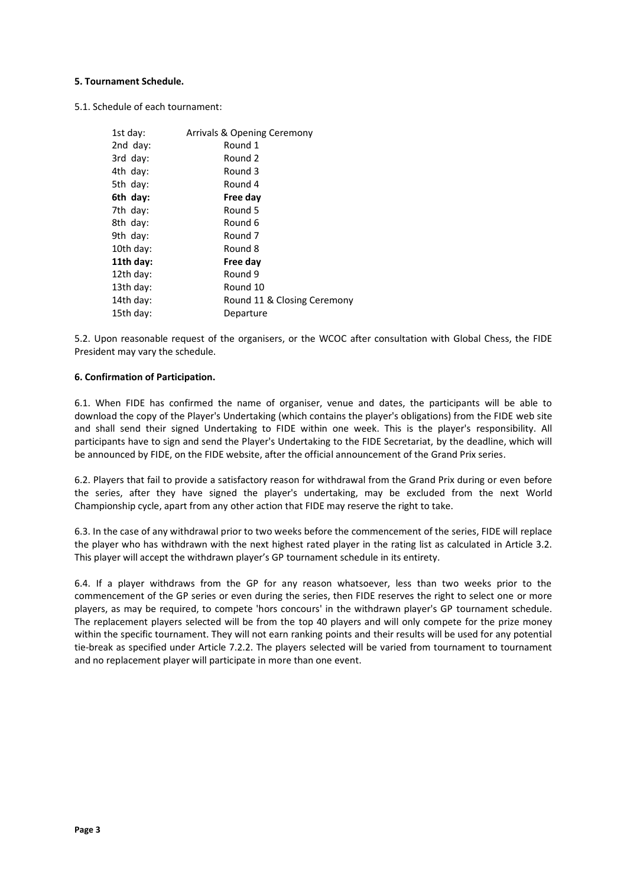## **5. Tournament Schedule.**

5.1. Schedule of each tournament:

| 1st day:    | Arrivals & Opening Ceremony |
|-------------|-----------------------------|
| 2nd day:    | Round 1                     |
| $3rd$ day:  | Round 2                     |
| 4th day:    | Round 3                     |
| 5th day:    | Round 4                     |
| 6th day:    | Free day                    |
| 7th day:    | Round 5                     |
| 8th day:    | Round 6                     |
| 9th $day$ : | Round 7                     |
| 10th day:   | Round 8                     |
| 11th day:   | Free day                    |
| 12th day:   | Round 9                     |
| 13th day:   | Round 10                    |
| 14th day:   | Round 11 & Closing Ceremony |
| 15th day:   | Departure                   |

5.2. Upon reasonable request of the organisers, or the WCOC after consultation with Global Chess, the FIDE President may vary the schedule.

## **6. Confirmation of Participation.**

6.1. When FIDE has confirmed the name of organiser, venue and dates, the participants will be able to download the copy of the Player's Undertaking (which contains the player's obligations) from the FIDE web site and shall send their signed Undertaking to FIDE within one week. This is the player's responsibility. All participants have to sign and send the Player's Undertaking to the FIDE Secretariat, by the deadline, which will be announced by FIDE, on the FIDE website, after the official announcement of the Grand Prix series.

6.2. Players that fail to provide a satisfactory reason for withdrawal from the Grand Prix during or even before the series, after they have signed the player's undertaking, may be excluded from the next World Championship cycle, apart from any other action that FIDE may reserve the right to take.

6.3. In the case of any withdrawal prior to two weeks before the commencement of the series, FIDE will replace the player who has withdrawn with the next highest rated player in the rating list as calculated in Article 3.2. This player will accept the withdrawn player's GP tournament schedule in its entirety.

6.4. If a player withdraws from the GP for any reason whatsoever, less than two weeks prior to the commencement of the GP series or even during the series, then FIDE reserves the right to select one or more players, as may be required, to compete 'hors concours' in the withdrawn player's GP tournament schedule. The replacement players selected will be from the top 40 players and will only compete for the prize money within the specific tournament. They will not earn ranking points and their results will be used for any potential tie-break as specified under Article 7.2.2. The players selected will be varied from tournament to tournament and no replacement player will participate in more than one event.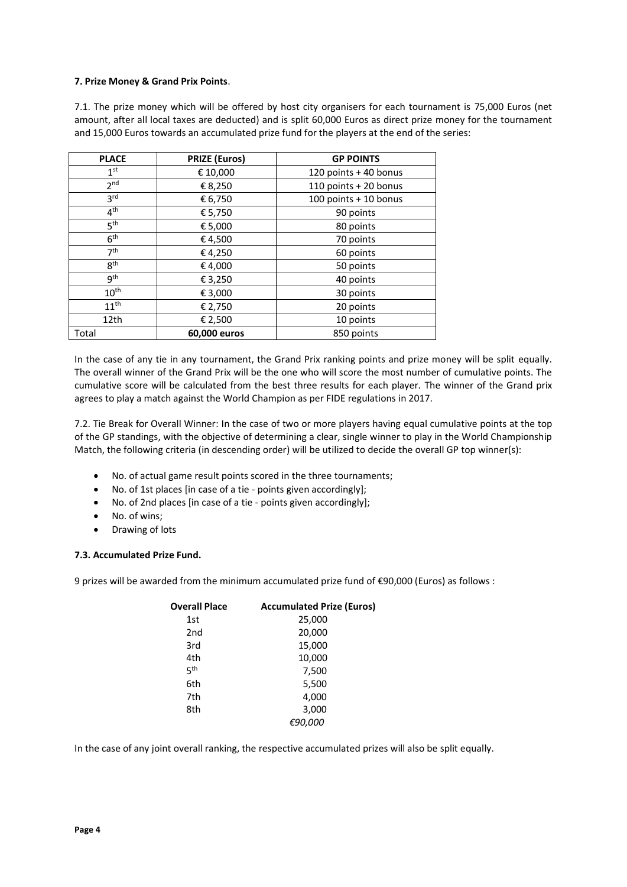## **7. Prize Money & Grand Prix Points**.

7.1. The prize money which will be offered by host city organisers for each tournament is 75,000 Euros (net amount, after all local taxes are deducted) and is split 60,000 Euros as direct prize money for the tournament and 15,000 Euros towards an accumulated prize fund for the players at the end of the series:

| <b>PLACE</b>     | <b>PRIZE (Euros)</b> | <b>GP POINTS</b>      |
|------------------|----------------------|-----------------------|
| 1 <sup>st</sup>  | € 10,000             | 120 points + 40 bonus |
| 2 <sub>nd</sub>  | € 8,250              | 110 points + 20 bonus |
| 3 <sup>rd</sup>  | € 6,750              | 100 points + 10 bonus |
| 4 <sup>th</sup>  | € 5,750              | 90 points             |
| 5 <sup>th</sup>  | € 5,000              | 80 points             |
| 6 <sup>th</sup>  | €4,500               | 70 points             |
| 7 <sup>th</sup>  | €4,250               | 60 points             |
| gth              | €4,000               | 50 points             |
| gth              | € 3,250              | 40 points             |
| 10 <sup>th</sup> | € 3,000              | 30 points             |
| 11 <sup>th</sup> | € 2,750              | 20 points             |
| 12th             | € 2,500              | 10 points             |
| Total            | 60,000 euros         | 850 points            |

In the case of any tie in any tournament, the Grand Prix ranking points and prize money will be split equally. The overall winner of the Grand Prix will be the one who will score the most number of cumulative points. The cumulative score will be calculated from the best three results for each player. The winner of the Grand prix agrees to play a match against the World Champion as per FIDE regulations in 2017.

7.2. Tie Break for Overall Winner: In the case of two or more players having equal cumulative points at the top of the GP standings, with the objective of determining a clear, single winner to play in the World Championship Match, the following criteria (in descending order) will be utilized to decide the overall GP top winner(s):

- No. of actual game result points scored in the three tournaments;
- No. of 1st places [in case of a tie points given accordingly];
- No. of 2nd places [in case of a tie points given accordingly];
- No. of wins;
- Drawing of lots

## **7.3. Accumulated Prize Fund.**

9 prizes will be awarded from the minimum accumulated prize fund of €90,000 (Euros) as follows :

| <b>Overall Place</b> | <b>Accumulated Prize (Euros)</b> |
|----------------------|----------------------------------|
| 1st                  | 25,000                           |
| 2nd                  | 20,000                           |
| 3rd                  | 15,000                           |
| 4th                  | 10,000                           |
| ς <sup>th</sup>      | 7,500                            |
| 6th                  | 5,500                            |
| 7th                  | 4,000                            |
| 8th                  | 3,000                            |
|                      | €90,000                          |

In the case of any joint overall ranking, the respective accumulated prizes will also be split equally.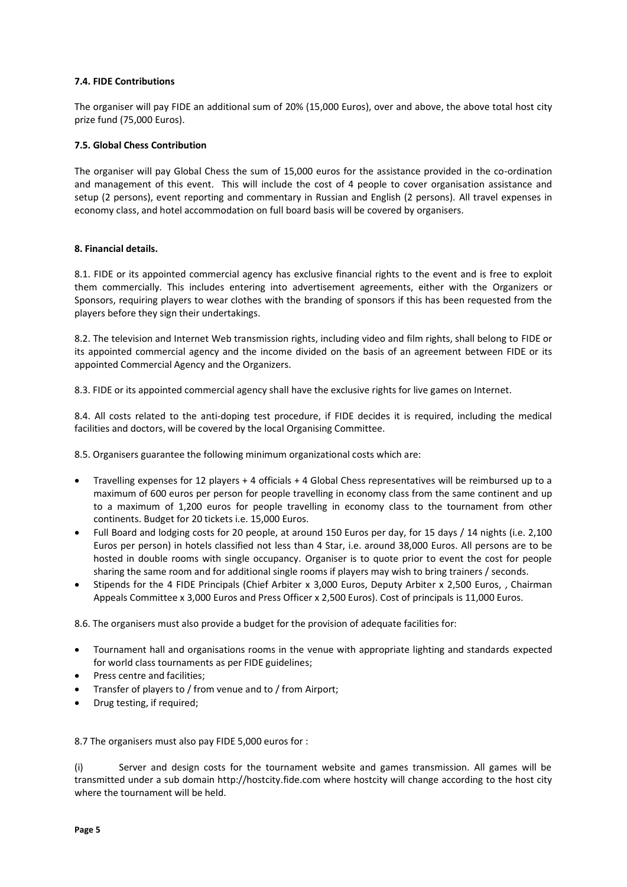## **7.4. FIDE Contributions**

The organiser will pay FIDE an additional sum of 20% (15,000 Euros), over and above, the above total host city prize fund (75,000 Euros).

## **7.5. Global Chess Contribution**

The organiser will pay Global Chess the sum of 15,000 euros for the assistance provided in the co-ordination and management of this event. This will include the cost of 4 people to cover organisation assistance and setup (2 persons), event reporting and commentary in Russian and English (2 persons). All travel expenses in economy class, and hotel accommodation on full board basis will be covered by organisers.

#### **8. Financial details.**

8.1. FIDE or its appointed commercial agency has exclusive financial rights to the event and is free to exploit them commercially. This includes entering into advertisement agreements, either with the Organizers or Sponsors, requiring players to wear clothes with the branding of sponsors if this has been requested from the players before they sign their undertakings.

8.2. The television and Internet Web transmission rights, including video and film rights, shall belong to FIDE or its appointed commercial agency and the income divided on the basis of an agreement between FIDE or its appointed Commercial Agency and the Organizers.

8.3. FIDE or its appointed commercial agency shall have the exclusive rights for live games on Internet.

8.4. All costs related to the anti-doping test procedure, if FIDE decides it is required, including the medical facilities and doctors, will be covered by the local Organising Committee.

8.5. Organisers guarantee the following minimum organizational costs which are:

- Travelling expenses for 12 players + 4 officials + 4 Global Chess representatives will be reimbursed up to a maximum of 600 euros per person for people travelling in economy class from the same continent and up to a maximum of 1,200 euros for people travelling in economy class to the tournament from other continents. Budget for 20 tickets i.e. 15,000 Euros.
- Full Board and lodging costs for 20 people, at around 150 Euros per day, for 15 days / 14 nights (i.e. 2,100 Euros per person) in hotels classified not less than 4 Star, i.e. around 38,000 Euros. All persons are to be hosted in double rooms with single occupancy. Organiser is to quote prior to event the cost for people sharing the same room and for additional single rooms if players may wish to bring trainers / seconds.
- Stipends for the 4 FIDE Principals (Chief Arbiter x 3,000 Euros, Deputy Arbiter x 2,500 Euros, , Chairman Appeals Committee x 3,000 Euros and Press Officer x 2,500 Euros). Cost of principals is 11,000 Euros.

8.6. The organisers must also provide a budget for the provision of adequate facilities for:

- Tournament hall and organisations rooms in the venue with appropriate lighting and standards expected for world class tournaments as per FIDE guidelines;
- Press centre and facilities;
- Transfer of players to / from venue and to / from Airport;
- Drug testing, if required;

8.7 The organisers must also pay FIDE 5,000 euros for :

(i) Server and design costs for the tournament website and games transmission. All games will be transmitted under a sub domain http://hostcity.fide.com where hostcity will change according to the host city where the tournament will be held.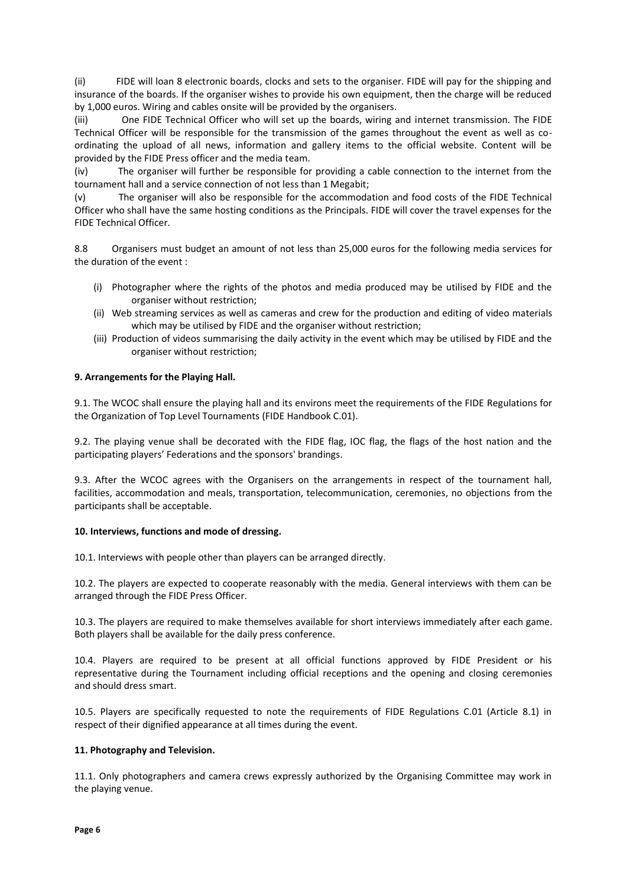(ii) FIDE will loan 8 electronic boards, clocks and sets to the organiser. FIDE will pay for the shipping and insurance of the boards. If the organiser wishes to provide his own equipment, then the charge will be reduced by 1,000 euros. Wiring and cables onsite will be provided by the organisers.

(iii) One FIDE Technical Officer who will set up the boards, wiring and internet transmission. The FIDE Technical Officer will be responsible for the transmission of the games throughout the event as well as coordinating the upload of all news, information and gallery items to the official website. Content will be provided by the FIDE Press officer and the media team.

(iv) The organiser will further be responsible for providing a cable connection to the internet from the tournament hall and a service connection of not less than 1 Megabit;

(v) The organiser will also be responsible for the accommodation and food costs of the FIDE Technical Officer who shall have the same hosting conditions as the Principals. FIDE will cover the travel expenses for the FIDE Technical Officer.

8.8 Organisers must budget an amount of not less than 25,000 euros for the following media services for the duration of the event :

- (i) Photographer where the rights of the photos and media produced may be utilised by FIDE and the organiser without restriction;
- (ii) Web streaming services as well as cameras and crew for the production and editing of video materials which may be utilised by FIDE and the organiser without restriction;
- (iii) Production of videos summarising the daily activity in the event which may be utilised by FIDE and the organiser without restriction;

# **9. Arrangements for the Playing Hall.**

9.1. The WCOC shall ensure the playing hall and its environs meet the requirements of the FIDE Regulations for the Organization of Top Level Tournaments (FIDE Handbook C.01).

9.2. The playing venue shall be decorated with the FIDE flag, IOC flag, the flags of the host nation and the participating players' Federations and the sponsors' brandings.

9.3. After the WCOC agrees with the Organisers on the arrangements in respect of the tournament hall, facilities, accommodation and meals, transportation, telecommunication, ceremonies, no objections from the participants shall be acceptable.

## **10. Interviews, functions and mode of dressing.**

10.1. Interviews with people other than players can be arranged directly.

10.2. The players are expected to cooperate reasonably with the media. General interviews with them can be arranged through the FIDE Press Officer.

10.3. The players are required to make themselves available for short interviews immediately after each game. Both players shall be available for the daily press conference.

10.4. Players are required to be present at all official functions approved by FIDE President or his representative during the Tournament including official receptions and the opening and closing ceremonies and should dress smart.

10.5. Players are specifically requested to note the requirements of FIDE Regulations C.01 (Article 8.1) in respect of their dignified appearance at all times during the event.

## **11. Photography and Television.**

11.1. Only photographers and camera crews expressly authorized by the Organising Committee may work in the playing venue.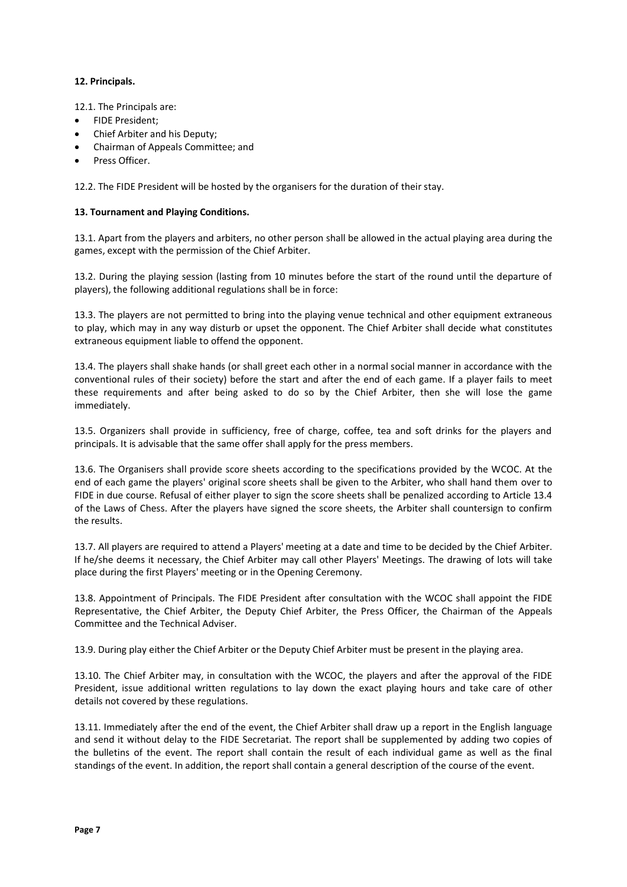## **12. Principals.**

12.1. The Principals are:

- FIDE President;
- Chief Arbiter and his Deputy;
- Chairman of Appeals Committee; and
- Press Officer.

12.2. The FIDE President will be hosted by the organisers for the duration of their stay.

## **13. Tournament and Playing Conditions.**

13.1. Apart from the players and arbiters, no other person shall be allowed in the actual playing area during the games, except with the permission of the Chief Arbiter.

13.2. During the playing session (lasting from 10 minutes before the start of the round until the departure of players), the following additional regulations shall be in force:

13.3. The players are not permitted to bring into the playing venue technical and other equipment extraneous to play, which may in any way disturb or upset the opponent. The Chief Arbiter shall decide what constitutes extraneous equipment liable to offend the opponent.

13.4. The players shall shake hands (or shall greet each other in a normal social manner in accordance with the conventional rules of their society) before the start and after the end of each game. If a player fails to meet these requirements and after being asked to do so by the Chief Arbiter, then she will lose the game immediately.

13.5. Organizers shall provide in sufficiency, free of charge, coffee, tea and soft drinks for the players and principals. It is advisable that the same offer shall apply for the press members.

13.6. The Organisers shall provide score sheets according to the specifications provided by the WCOC. At the end of each game the players' original score sheets shall be given to the Arbiter, who shall hand them over to FIDE in due course. Refusal of either player to sign the score sheets shall be penalized according to Article 13.4 of the Laws of Chess. After the players have signed the score sheets, the Arbiter shall countersign to confirm the results.

13.7. All players are required to attend a Players' meeting at a date and time to be decided by the Chief Arbiter. If he/she deems it necessary, the Chief Arbiter may call other Players' Meetings. The drawing of lots will take place during the first Players' meeting or in the Opening Ceremony.

13.8. Appointment of Principals. The FIDE President after consultation with the WCOC shall appoint the FIDE Representative, the Chief Arbiter, the Deputy Chief Arbiter, the Press Officer, the Chairman of the Appeals Committee and the Technical Adviser.

13.9. During play either the Chief Arbiter or the Deputy Chief Arbiter must be present in the playing area.

13.10. The Chief Arbiter may, in consultation with the WCOC, the players and after the approval of the FIDE President, issue additional written regulations to lay down the exact playing hours and take care of other details not covered by these regulations.

13.11. Immediately after the end of the event, the Chief Arbiter shall draw up a report in the English language and send it without delay to the FIDE Secretariat. The report shall be supplemented by adding two copies of the bulletins of the event. The report shall contain the result of each individual game as well as the final standings of the event. In addition, the report shall contain a general description of the course of the event.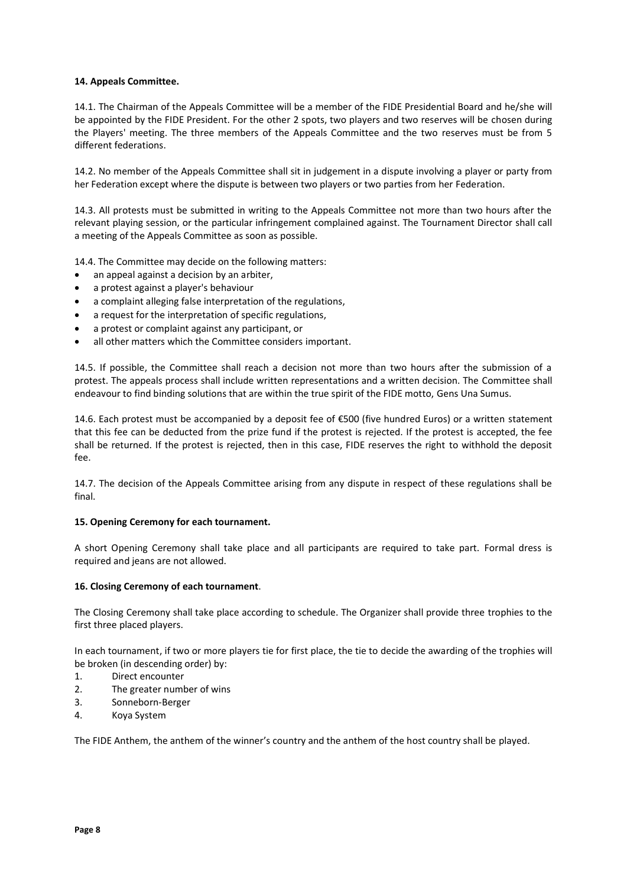## **14. Appeals Committee.**

14.1. The Chairman of the Appeals Committee will be a member of the FIDE Presidential Board and he/she will be appointed by the FIDE President. For the other 2 spots, two players and two reserves will be chosen during the Players' meeting. The three members of the Appeals Committee and the two reserves must be from 5 different federations.

14.2. No member of the Appeals Committee shall sit in judgement in a dispute involving a player or party from her Federation except where the dispute is between two players or two parties from her Federation.

14.3. All protests must be submitted in writing to the Appeals Committee not more than two hours after the relevant playing session, or the particular infringement complained against. The Tournament Director shall call a meeting of the Appeals Committee as soon as possible.

14.4. The Committee may decide on the following matters:

- an appeal against a decision by an arbiter,
- a protest against a player's behaviour
- a complaint alleging false interpretation of the regulations,
- a request for the interpretation of specific regulations,
- a protest or complaint against any participant, or
- all other matters which the Committee considers important.

14.5. If possible, the Committee shall reach a decision not more than two hours after the submission of a protest. The appeals process shall include written representations and a written decision. The Committee shall endeavour to find binding solutions that are within the true spirit of the FIDE motto, Gens Una Sumus.

14.6. Each protest must be accompanied by a deposit fee of €500 (five hundred Euros) or a written statement that this fee can be deducted from the prize fund if the protest is rejected. If the protest is accepted, the fee shall be returned. If the protest is rejected, then in this case, FIDE reserves the right to withhold the deposit fee.

14.7. The decision of the Appeals Committee arising from any dispute in respect of these regulations shall be final.

## **15. Opening Ceremony for each tournament.**

A short Opening Ceremony shall take place and all participants are required to take part. Formal dress is required and jeans are not allowed.

## **16. Closing Ceremony of each tournament**.

The Closing Ceremony shall take place according to schedule. The Organizer shall provide three trophies to the first three placed players.

In each tournament, if two or more players tie for first place, the tie to decide the awarding of the trophies will be broken (in descending order) by:

- 1. Direct encounter
- 2. The greater number of wins
- 3. Sonneborn-Berger
- 4. Koya System

The FIDE Anthem, the anthem of the winner's country and the anthem of the host country shall be played.